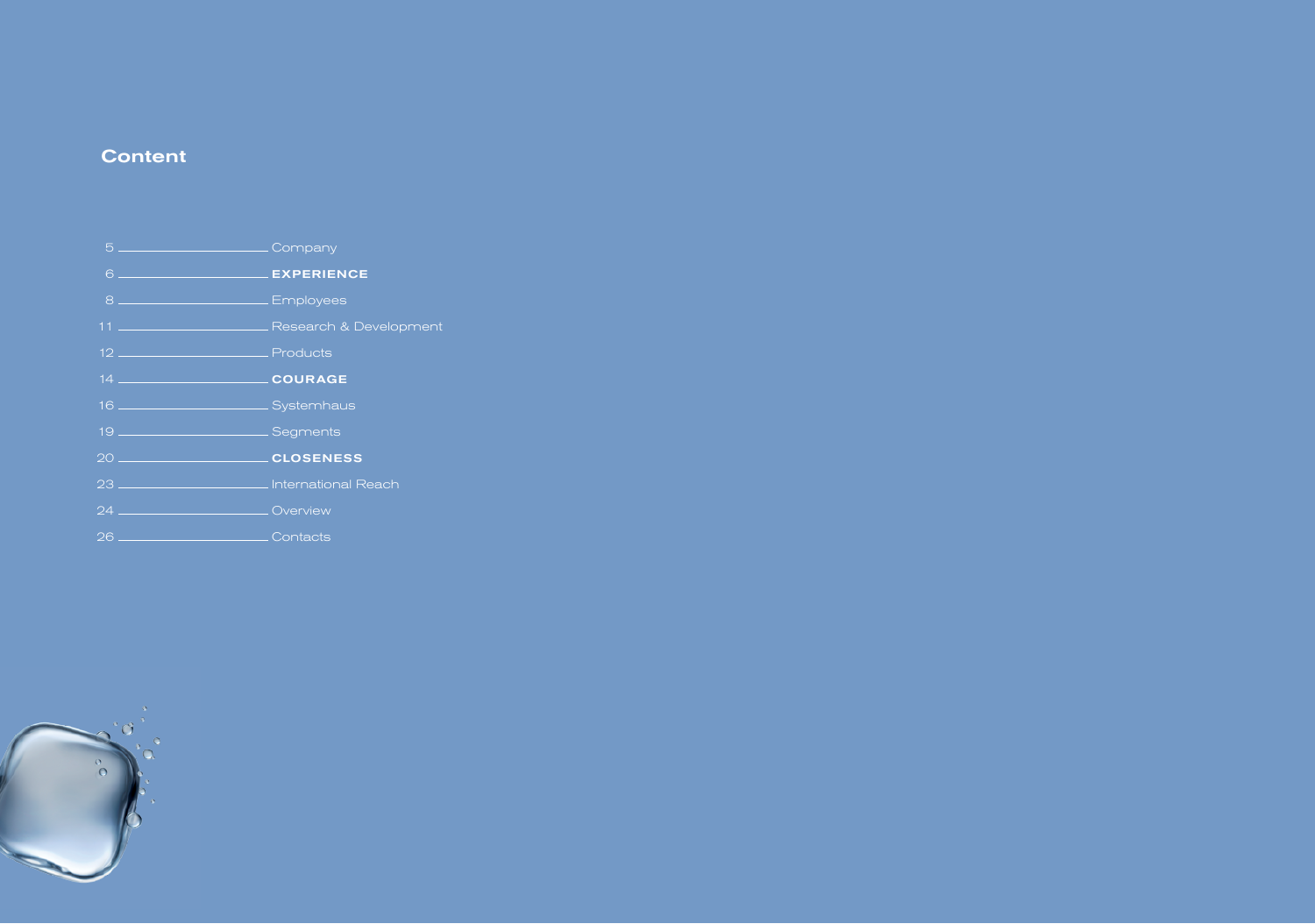## **Content**

| 5 _____________________________Company        |                                                      |
|-----------------------------------------------|------------------------------------------------------|
| 6 ___________________________ EXPERIENCE      |                                                      |
| 8 ________________________ Employees          |                                                      |
|                                               | 11 __________________________ Research & Development |
|                                               |                                                      |
|                                               |                                                      |
| 16 Systemhaus                                 |                                                      |
|                                               |                                                      |
|                                               |                                                      |
| 23 ______________________ International Reach |                                                      |
| 24 _______________________________Overview    |                                                      |
|                                               |                                                      |

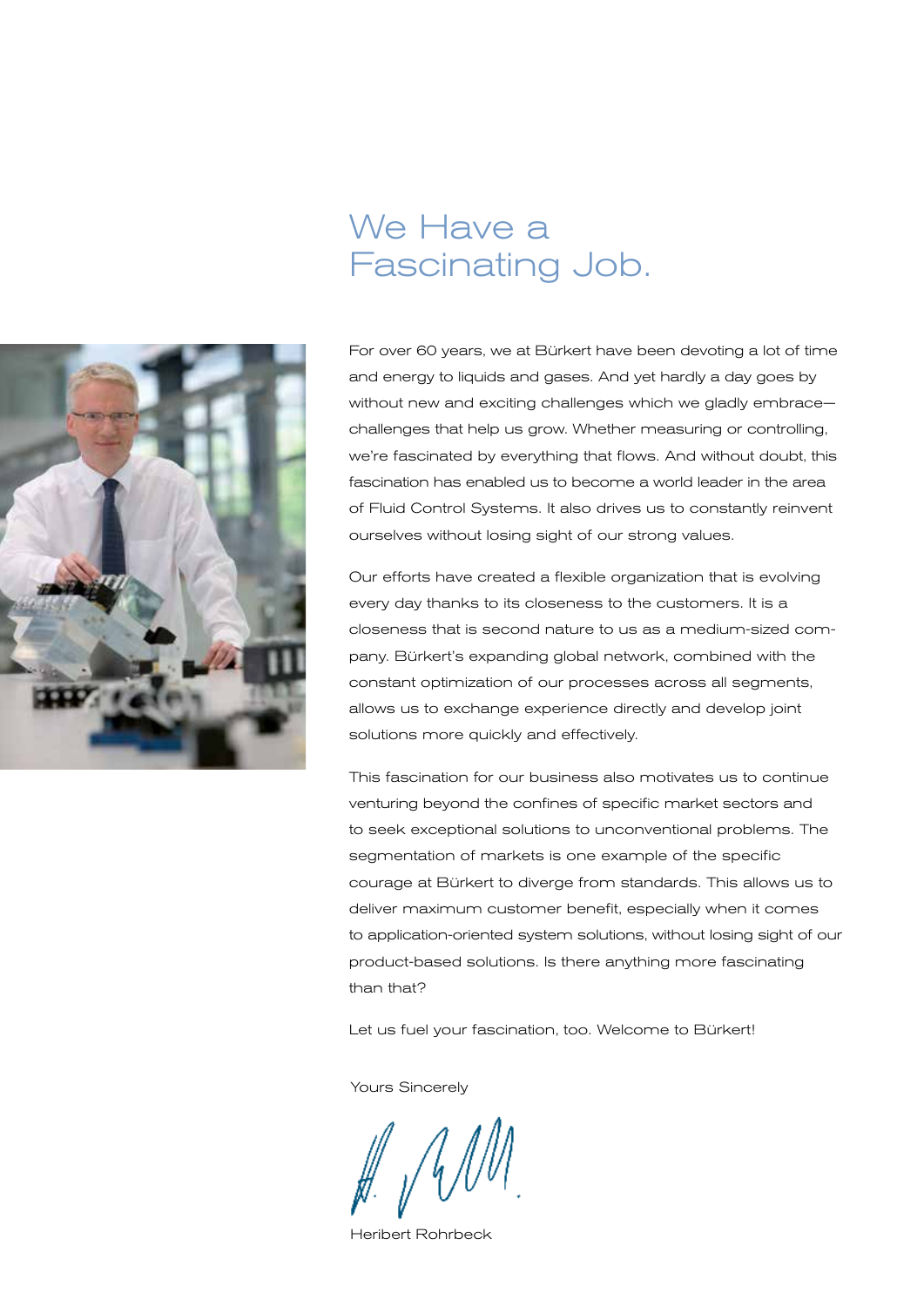## We Have a Fascinating Job.



For over 60 years, we at Bürkert have been devoting a lot of time and energy to liquids and gases. And yet hardly a day goes by without new and exciting challenges which we gladly embrace challenges that help us grow. Whether measuring or controlling, we're fascinated by everything that flows. And without doubt, this fascination has enabled us to become a world leader in the area of Fluid Control Systems. It also drives us to constantly reinvent ourselves without losing sight of our strong values.

Our efforts have created a flexible organization that is evolving every day thanks to its closeness to the customers. It is a closeness that is second nature to us as a medium-sized company. Bürkert's expanding global network, combined with the constant optimization of our processes across all segments, allows us to exchange experience directly and develop joint solutions more quickly and effectively.

This fascination for our business also motivates us to continue venturing beyond the confines of specific market sectors and to seek exceptional solutions to unconventional problems. The segmentation of markets is one example of the specific courage at Bürkert to diverge from standards. This allows us to deliver maximum customer benefit, especially when it comes to application-oriented system solutions, without losing sight of our product-based solutions. Is there anything more fascinating than that?

Let us fuel your fascination, too. Welcome to Bürkert!

Yours Sincerely

Heribert Rohrbeck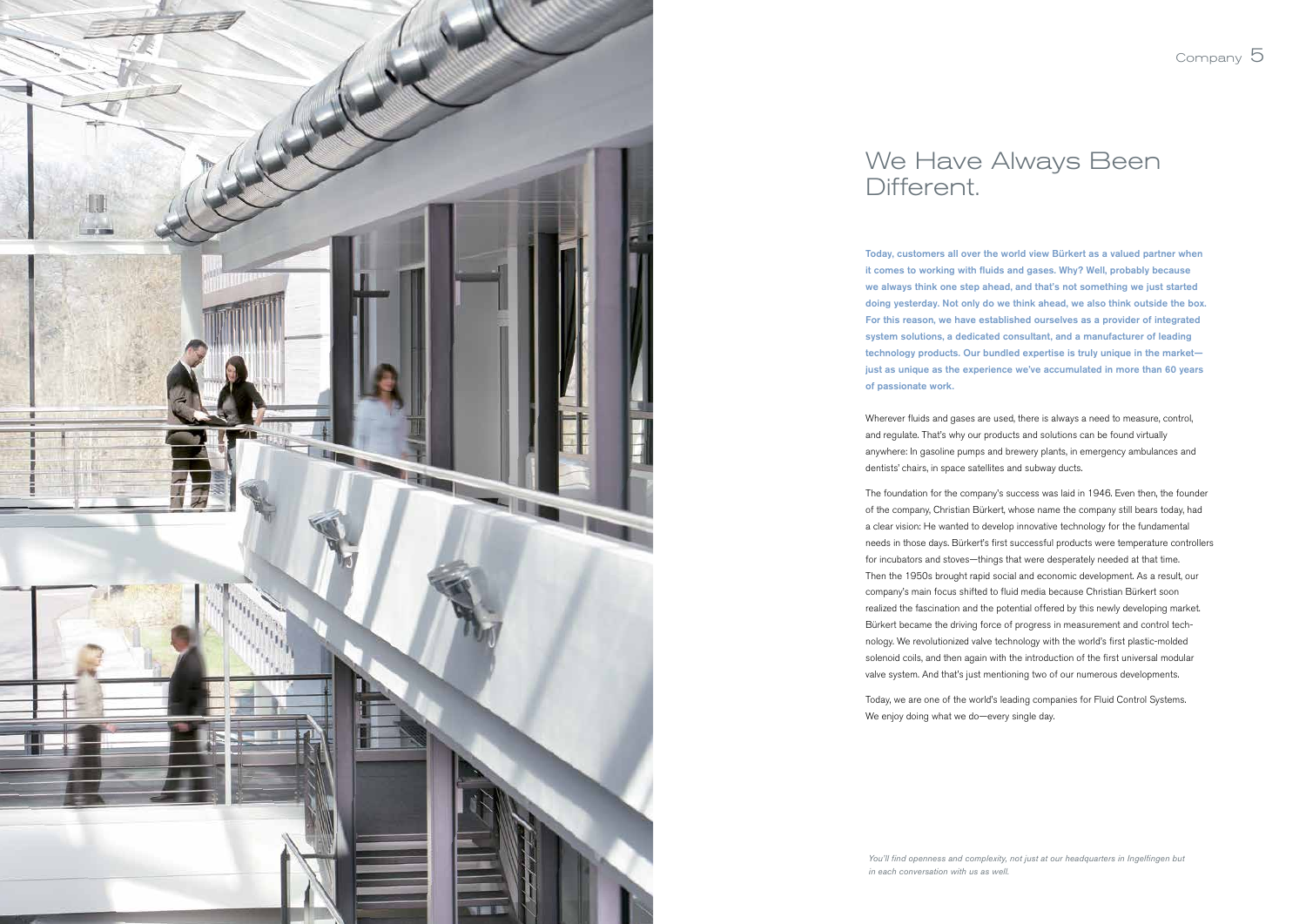Today, customers all over the world view Bürkert as a valued partner when it comes to working with fluids and gases. Why? Well, probably because we always think one step ahead, and that's not something we just started doing yesterday. Not only do we think ahead, we also think outside the box. For this reason, we have established ourselves as a provider of integrated system solutions, a dedicated consultant, and a manufacturer of leading technology products. Our bundled expertise is truly unique in the market just as unique as the experience we've accumulated in more than 60 years of passionate work.

Wherever fluids and gases are used, there is always a need to measure, control, and regulate. That's why our products and solutions can be found virtually anywhere: In gasoline pumps and brewery plants, in emergency ambulances and dentists' chairs, in space satellites and subway ducts.

Today, we are one of the world's leading companies for Fluid Control Systems. We enjoy doing what we do—every single day.

The foundation for the company's success was laid in 1946. Even then, the founder of the company, Christian Bürkert, whose name the company still bears today, had a clear vision: He wanted to develop innovative technology for the fundamental needs in those days. Bürkert's first successful products were temperature controllers for incubators and stoves—things that were desperately needed at that time. Then the 1950s brought rapid social and economic development. As a result, our company's main focus shifted to fluid media because Christian Bürkert soon realized the fascination and the potential offered by this newly developing market. Bürkert became the driving force of progress in measurement and control technology. We revolutionized valve technology with the world's first plastic-molded solenoid coils, and then again with the introduction of the first universal modular valve system. And that's just mentioning two of our numerous developments.





## Different.

*in each conversation with us as well.*

Company 5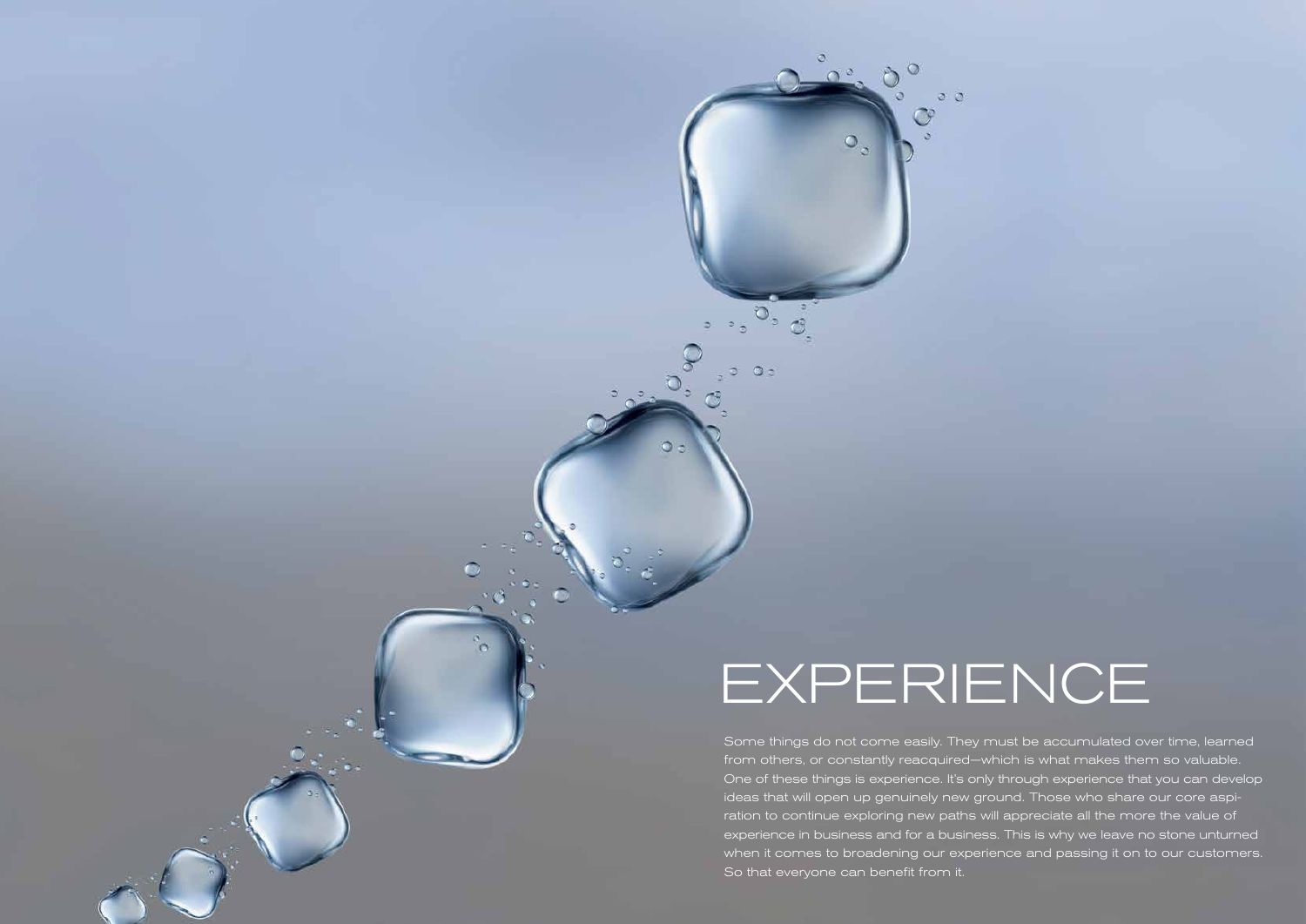Some things do not come easily. They must be accumulated over time, learned from others, or constantly reacquired—which is what makes them so valuable. One of these things is experience. It's only through experience that you can develop ideas that will open up genuinely new ground. Those who share our core aspiration to continue exploring new paths will appreciate all the more the value of experience in business and for a business. This is why we leave no stone unturned when it comes to broadening our experience and passing it on to our customers. So that everyone can benefit from it.

## EXPERIENCE

 $\circ$ 

 $\Omega$ 

 $Oz$ 

 $\circ$ 

 $\circ$   $\circ$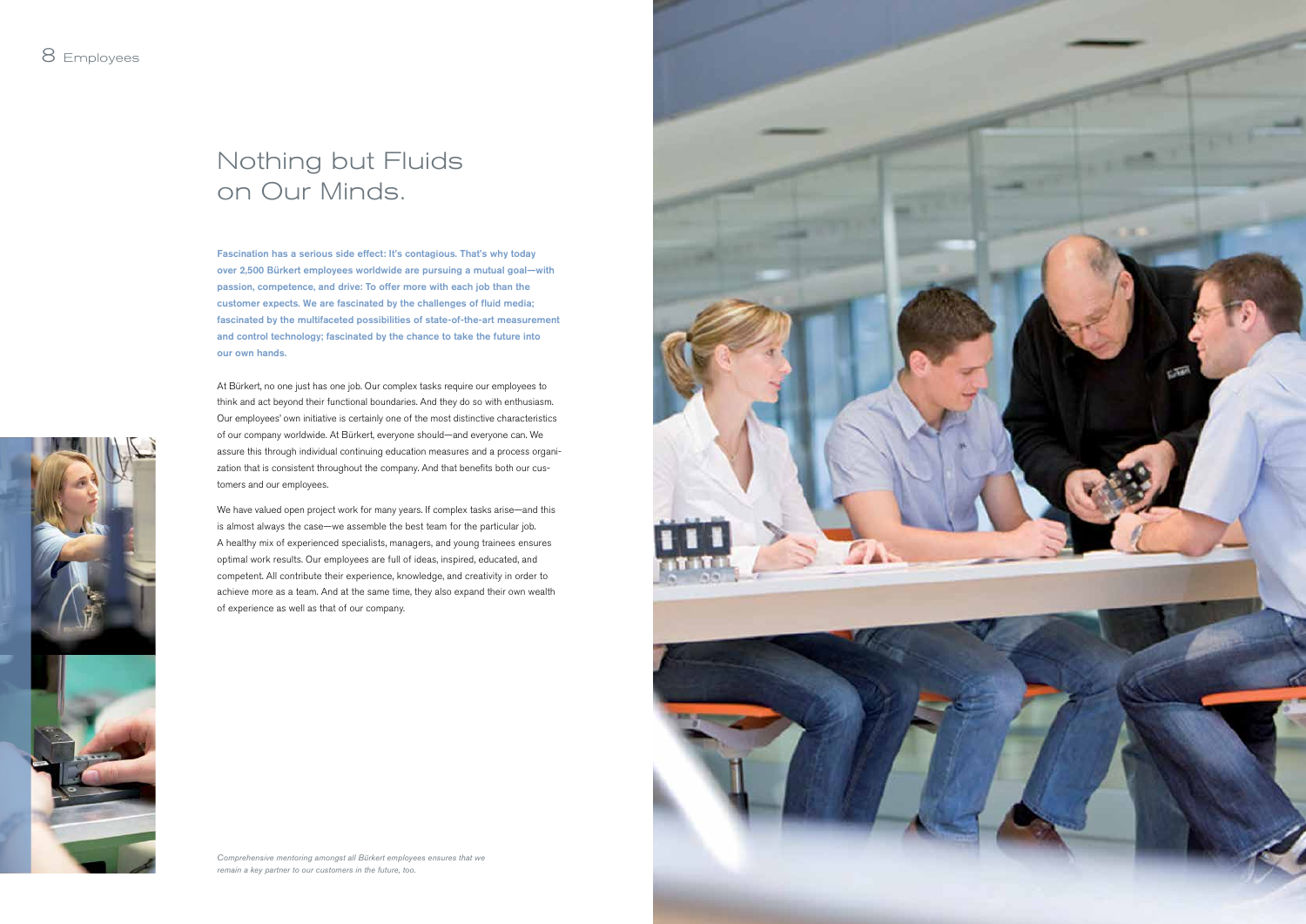Fascination has a serious side effect: It's contagious. That's why today over 2,500 Bürkert employees worldwide are pursuing a mutual goal—with passion, competence, and drive: To offer more with each job than the customer expects. We are fascinated by the challenges of fluid media; fascinated by the multifaceted possibilities of state-of-the-art measurement and control technology; fascinated by the chance to take the future into our own hands.

At Bürkert, no one just has one job. Our complex tasks require our employees to think and act beyond their functional boundaries. And they do so with enthusiasm. Our employees' own initiative is certainly one of the most distinctive characteristics of our company worldwide. At Bürkert, everyone should—and everyone can. We assure this through individual continuing education measures and a process organization that is consistent throughout the company. And that benefits both our customers and our employees.

We have valued open project work for many years. If complex tasks arise—and this is almost always the case—we assemble the best team for the particular job. A healthy mix of experienced specialists, managers, and young trainees ensures optimal work results. Our employees are full of ideas, inspired, educated, and competent. All contribute their experience, knowledge, and creativity in order to achieve more as a team. And at the same time, they also expand their own wealth of experience as well as that of our company.

## Nothing but Fluids on Our Minds.



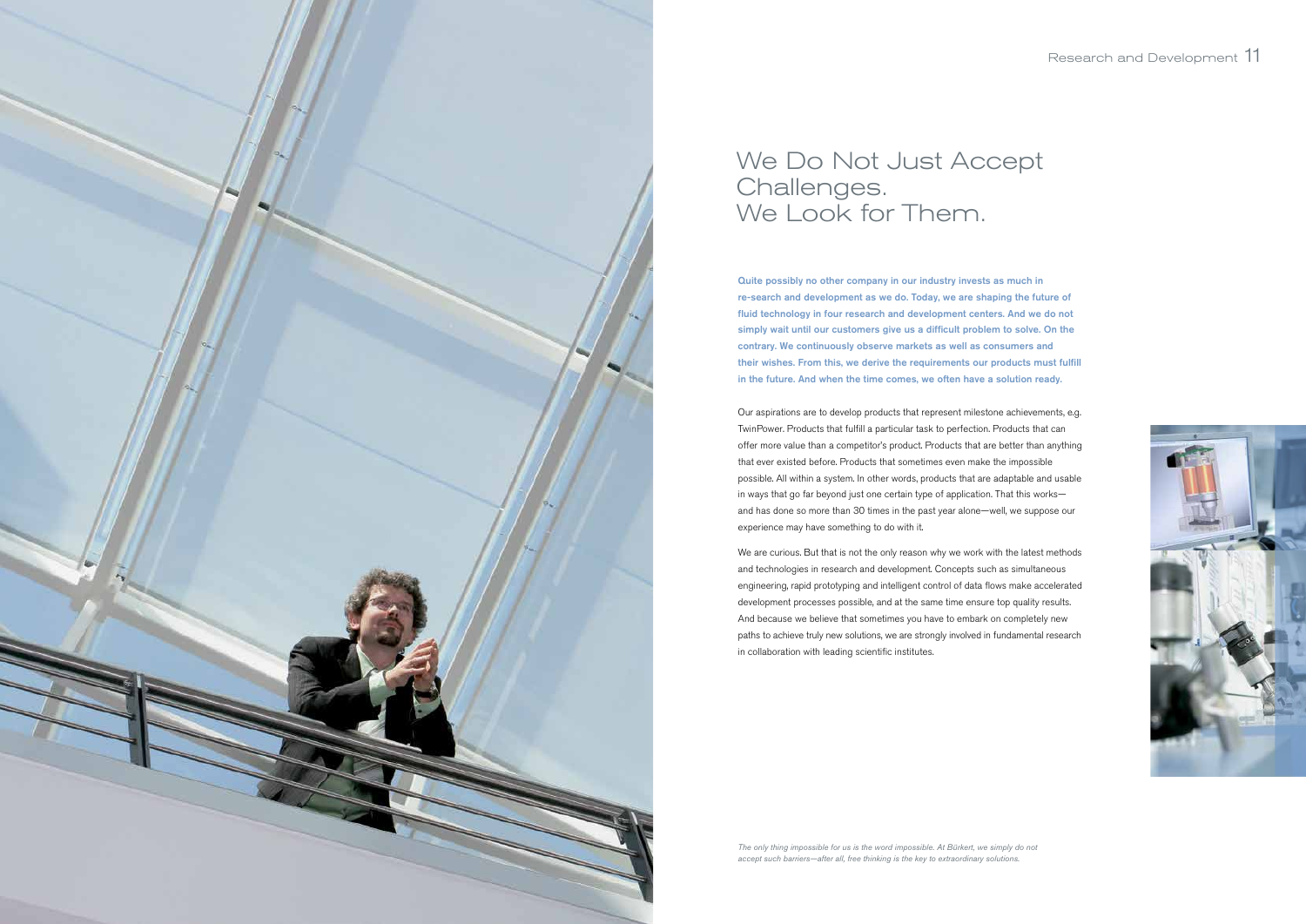Quite possibly no other company in our industry invests as much in re-search and development as we do. Today, we are shaping the future of fluid technology in four research and development centers. And we do not simply wait until our customers give us a difficult problem to solve. On the contrary. We continuously observe markets as well as consumers and their wishes. From this, we derive the requirements our products must fulfill in the future. And when the time comes, we often have a solution ready.

Our aspirations are to develop products that represent milestone achievements, e.g. TwinPower. Products that fulfill a particular task to perfection. Products that can offer more value than a competitor's product. Products that are better than anything that ever existed before. Products that sometimes even make the impossible possible. All within a system. In other words, products that are adaptable and usable in ways that go far beyond just one certain type of application. That this works and has done so more than 30 times in the past year alone—well, we suppose our experience may have something to do with it.

We are curious. But that is not the only reason why we work with the latest methods and technologies in research and development. Concepts such as simultaneous engineering, rapid prototyping and intelligent control of data flows make accelerated development processes possible, and at the same time ensure top quality results. And because we believe that sometimes you have to embark on completely new paths to achieve truly new solutions, we are strongly involved in fundamental research in collaboration with leading scientific institutes.



## We Do Not Just Accept Challenges. We Look for Them.

*The only thing impossible for us is the word impossible. At Bürkert, we simply do not accept such barriers—after all, free thinking is the key to extraordinary solutions.*

![](_page_6_Picture_7.jpeg)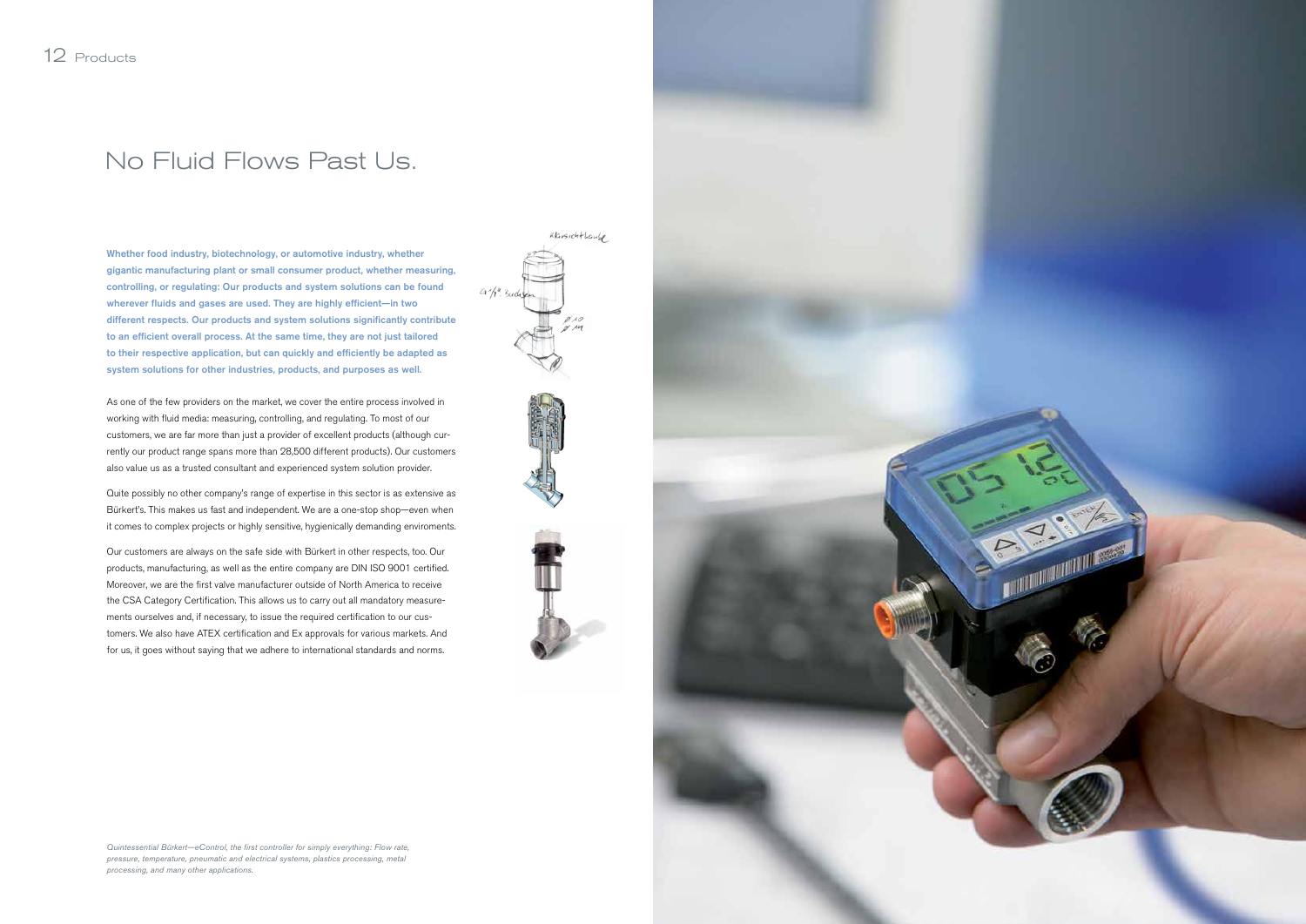Whether food industry, biotechnology, or automotive industry, whether gigantic manufacturing plant or small consumer product, whether measuring, controlling, or regulating: Our products and system solutions can be found wherever fluids and gases are used. They are highly efficient-in two different respects. Our products and system solutions significantly contribute to an efficient overall process. At the same time, they are not just tailored to their respective application, but can quickly and efficiently be adapted as system solutions for other industries, products, and purposes as well.

As one of the few providers on the market, we cover the entire process involved in working with fluid media: measuring, controlling, and regulating. To most of our customers, we are far more than just a provider of excellent products (although currently our product range spans more than 28,500 different products). Our customers also value us as a trusted consultant and experienced system solution provider.

Quite possibly no other company's range of expertise in this sector is as extensive as Bürkert's. This makes us fast and independent. We are a one-stop shop—even when it comes to complex projects or highly sensitive, hygienically demanding enviroments.

Our customers are always on the safe side with Bürkert in other respects, too. Our products, manufacturing, as well as the entire company are DIN ISO 9001 certified. Moreover, we are the first valve manufacturer outside of North America to receive the CSA Category Certification. This allows us to carry out all mandatory measurements ourselves and, if necessary, to issue the required certification to our customers. We also have ATEX certification and Ex approvals for various markets. And for us, it goes without saying that we adhere to international standards and norms.

## No Fluid Flows Past Us.

*Quintessential Bürkert—eControl, the first controller for simply everything: Flow rate, pressure, temperature, pneumatic and electrical systems, plastics processing, metal processing, and many other applications.*

![](_page_7_Figure_7.jpeg)

![](_page_7_Picture_8.jpeg)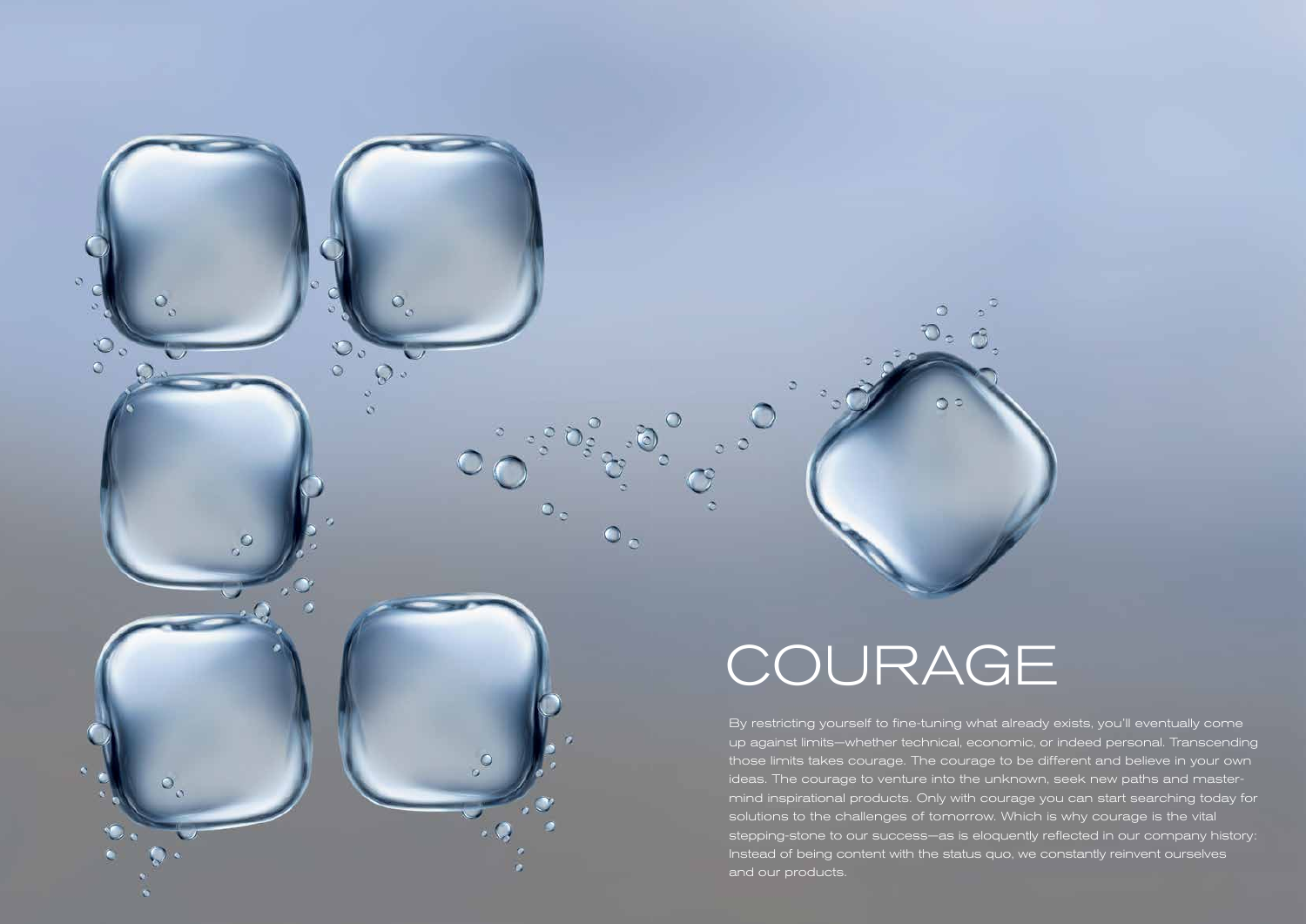By restricting yourself to fine-tuning what already exists, you'll eventually come up against limits—whether technical, economic, or indeed personal. Transcending those limits takes courage. The courage to be different and believe in your own ideas. The courage to venture into the unknown, seek new paths and mastermind inspirational products. Only with courage you can start searching today for solutions to the challenges of tomorrow. Which is why courage is the vital stepping-stone to our success—as is eloquently reflected in our company history: Instead of being content with the status quo, we constantly reinvent ourselves and our products.

 $\circ$ 

# COURAGE

 $\circ$ 

 $\int_{0}^{0}$ 

 $\overline{\phantom{a}}$ 

 $\circ$ 

 $\circ$ 

 $\circ$ 

 $Q_{\infty}$ 

 $\circ$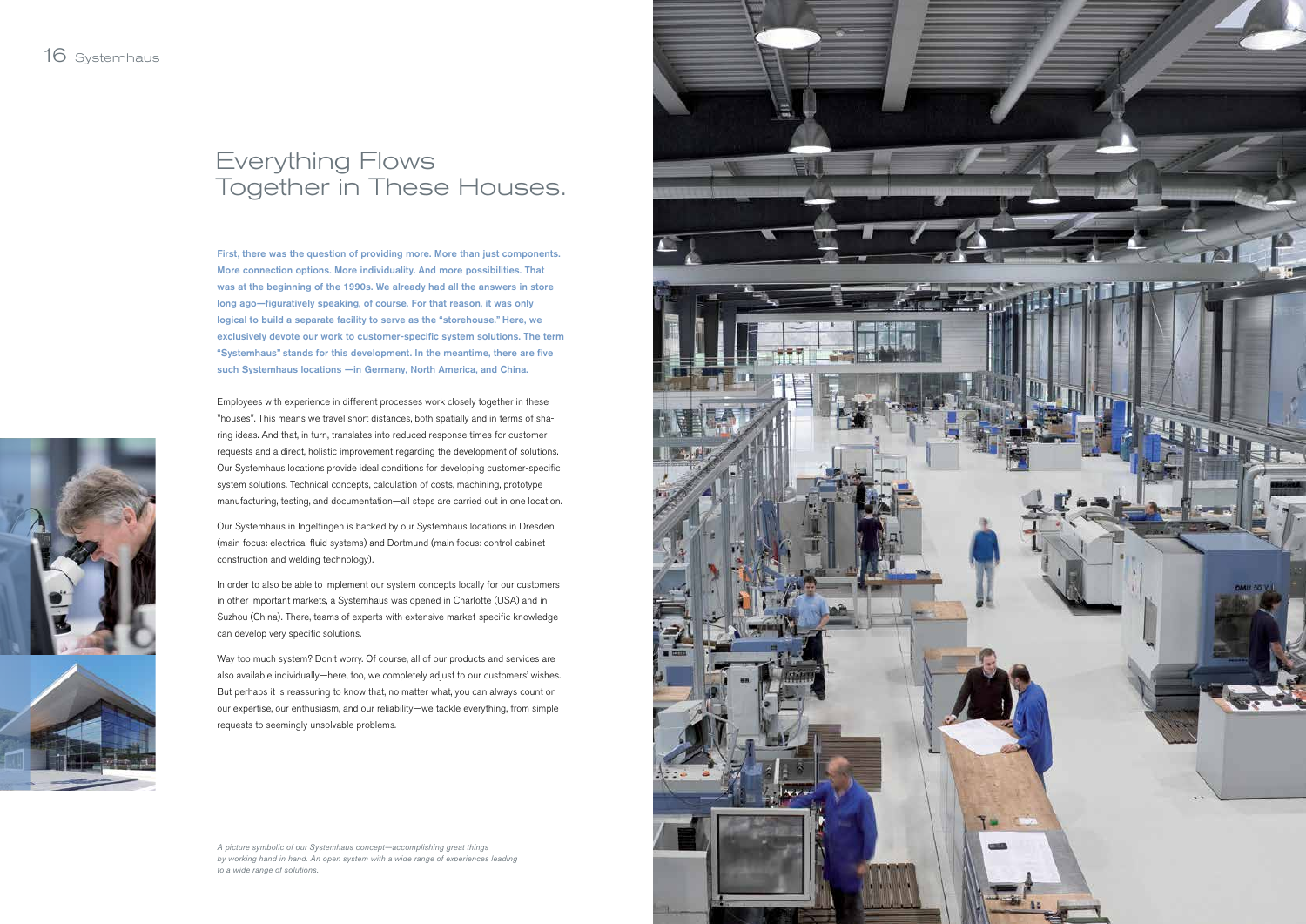First, there was the question of providing more. More than just components. More connection options. More individuality. And more possibilities. That was at the beginning of the 1990s. We already had all the answers in store long ago—figuratively speaking, of course. For that reason, it was only logical to build a separate facility to serve as the "storehouse." Here, we exclusively devote our work to customer-specific system solutions. The term "Systemhaus" stands for this development. In the meantime, there are five such Systemhaus locations —in Germany, North America, and China.

Employees with experience in different processes work closely together in these "houses". This means we travel short distances, both spatially and in terms of sharing ideas. And that, in turn, translates into reduced response times for customer requests and a direct, holistic improvement regarding the development of solutions. Our Systemhaus locations provide ideal conditions for developing customer-specific system solutions. Technical concepts, calculation of costs, machining, prototype manufacturing, testing, and documentation—all steps are carried out in one location.

Our Systemhaus in Ingelfingen is backed by our Systemhaus locations in Dresden (main focus: electrical fluid systems) and Dortmund (main focus: control cabinet construction and welding technology).

In order to also be able to implement our system concepts locally for our customers in other important markets, a Systemhaus was opened in Charlotte (USA) and in Suzhou (China). There, teams of experts with extensive market-specific knowledge can develop very specific solutions.

Way too much system? Don't worry. Of course, all of our products and services are also available individually—here, too, we completely adjust to our customers' wishes. But perhaps it is reassuring to know that, no matter what, you can always count on our expertise, our enthusiasm, and our reliability—we tackle everything, from simple requests to seemingly unsolvable problems.

## Everything Flows Together in These Houses.

*A picture symbolic of our Systemhaus concept—accomplishing great things by working hand in hand. An open system with a wide range of experiences leading to a wide range of solutions.*

![](_page_9_Picture_8.jpeg)

![](_page_9_Picture_9.jpeg)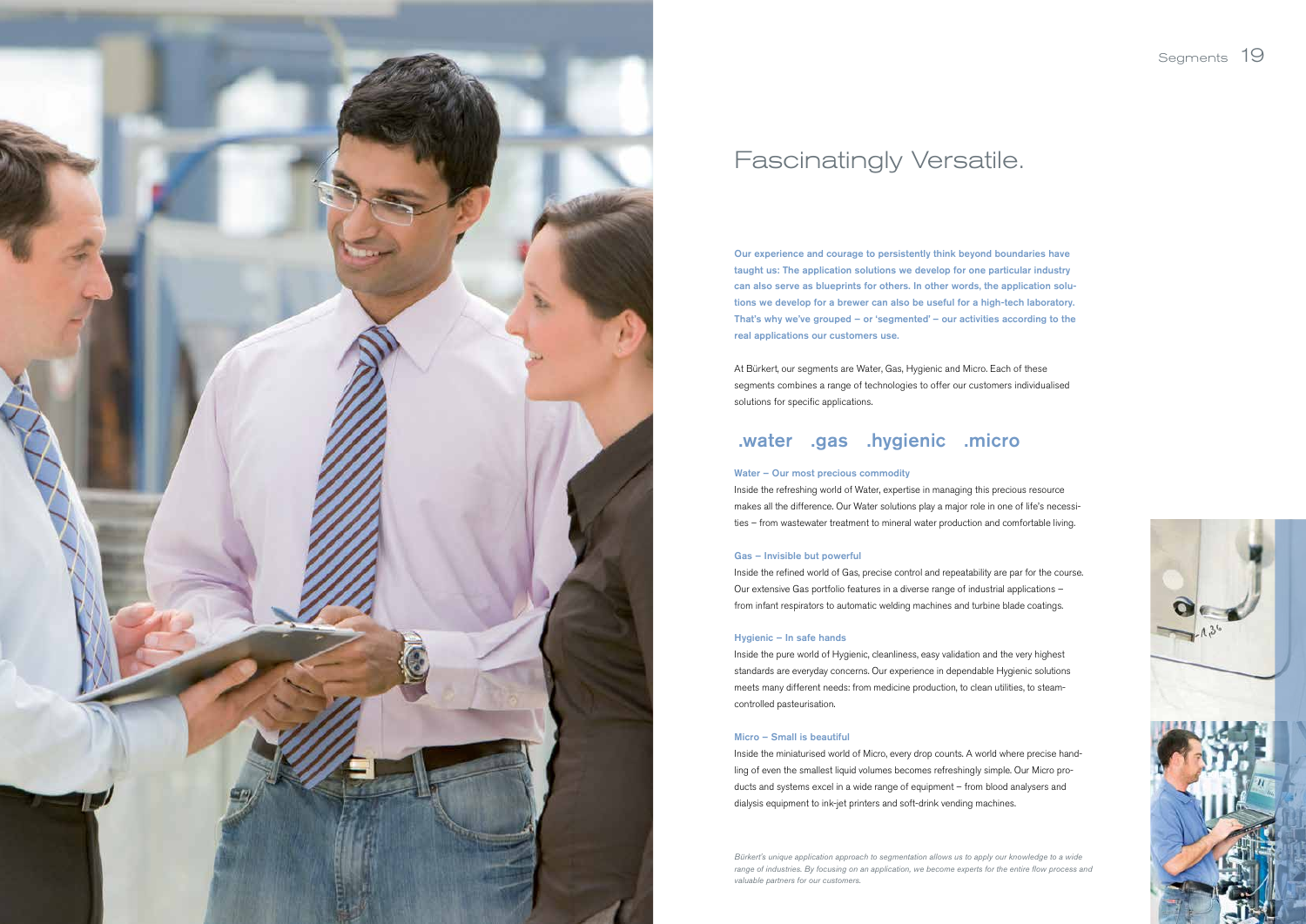### Segments 19

![](_page_10_Picture_16.jpeg)

Our experience and courage to persistently think beyond boundaries have taught us: The application solutions we develop for one particular industry can also serve as blueprints for others. In other words, the application solutions we develop for a brewer can also be useful for a high-tech laboratory. That's why we've grouped – or 'segmented' – our activities according to the real applications our customers use.

At Bürkert, our segments are Water, Gas, Hygienic and Micro. Each of these segments combines a range of technologies to offer our customers individualised solutions for specific applications.

### .water .gas .hygienic .micro

### Water – Our most precious commodity

Inside the refreshing world of Water, expertise in managing this precious resource makes all the difference. Our Water solutions play a major role in one of life's necessities – from wastewater treatment to mineral water production and comfortable living.

### Gas – Invisible but powerful

Inside the refined world of Gas, precise control and repeatability are par for the course. Our extensive Gas portfolio features in a diverse range of industrial applications – from infant respirators to automatic welding machines and turbine blade coatings.

### Hygienic – In safe hands

Inside the pure world of Hygienic, cleanliness, easy validation and the very highest standards are everyday concerns. Our experience in dependable Hygienic solutions meets many different needs: from medicine production, to clean utilities, to steamcontrolled pasteurisation.

### Micro – Small is beautiful

Inside the miniaturised world of Micro, every drop counts. A world where precise handling of even the smallest liquid volumes becomes refreshingly simple. Our Micro products and systems excel in a wide range of equipment – from blood analysers and dialysis equipment to ink-jet printers and soft-drink vending machines.

![](_page_10_Picture_0.jpeg)

## Fascinatingly Versatile.

*Bürkert's unique application approach to segmentation allows us to apply our knowledge to a wide range of industries. By focusing on an application, we become experts for the entire flow process and valuable partners for our customers.*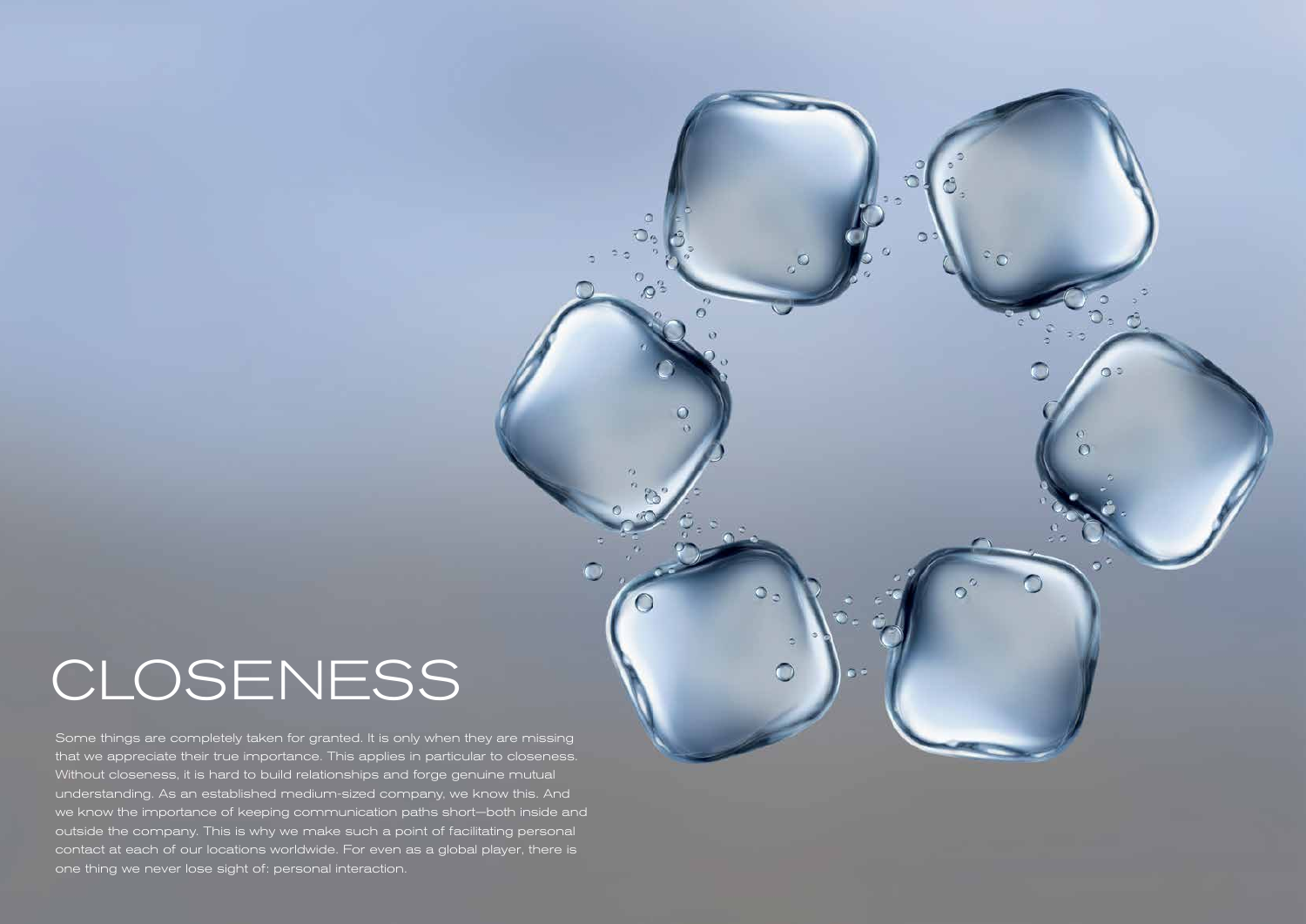Some things are completely taken for granted. It is only when they are missing that we appreciate their true importance. This applies in particular to closeness. Without closeness, it is hard to build relationships and forge genuine mutual understanding. As an established medium-sized company, we know this. And we know the importance of keeping communication paths short—both inside and outside the company. This is why we make such a point of facilitating personal contact at each of our locations worldwide. For even as a global player, there is one thing we never lose sight of: personal interaction.

![](_page_11_Picture_2.jpeg)

a

ര

O

 $\circ$ ွဴ

 $\sigma$ 

## CLOSENESS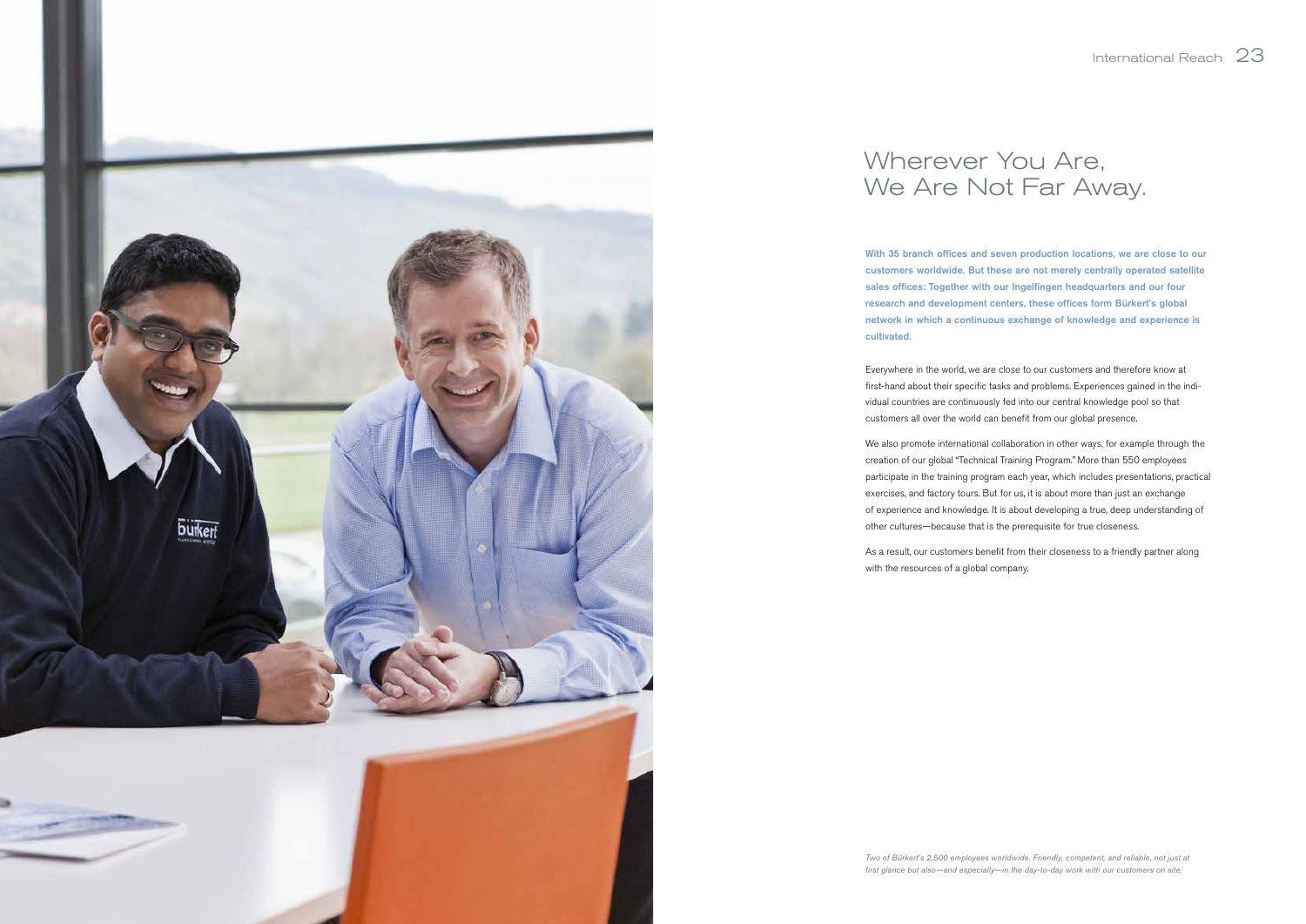![](_page_12_Picture_0.jpeg)

With 35 branch offices and seven production locations, we are close to our customers worldwide. But these are not merely centrally operated satellite sales offices: Together with our Ingelfingen headquarters and our four research and development centers, these offices form Bürkert's global network in which a continuous exchange of knowledge and experience is cultivated.

Everywhere in the world, we are close to our customers and therefore know at first-hand about their specific tasks and problems. Experiences gained in the individual countries are continuously fed into our central knowledge pool so that customers all over the world can benefit from our global presence.

We also promote international collaboration in other ways, for example through the creation of our global "Technical Training Program." More than 550 employees participate in the training program each year, which includes presentations, practical exercises, and factory tours. But for us, it is about more than just an exchange of experience and knowledge. It is about developing a true, deep understanding of other cultures—because that is the prerequisite for true closeness.

As a result, our customers benefit from their closeness to a friendly partner along with the resources of a global company.

## Wherever You Are,

We Are Not Far Away.

### International Reach 23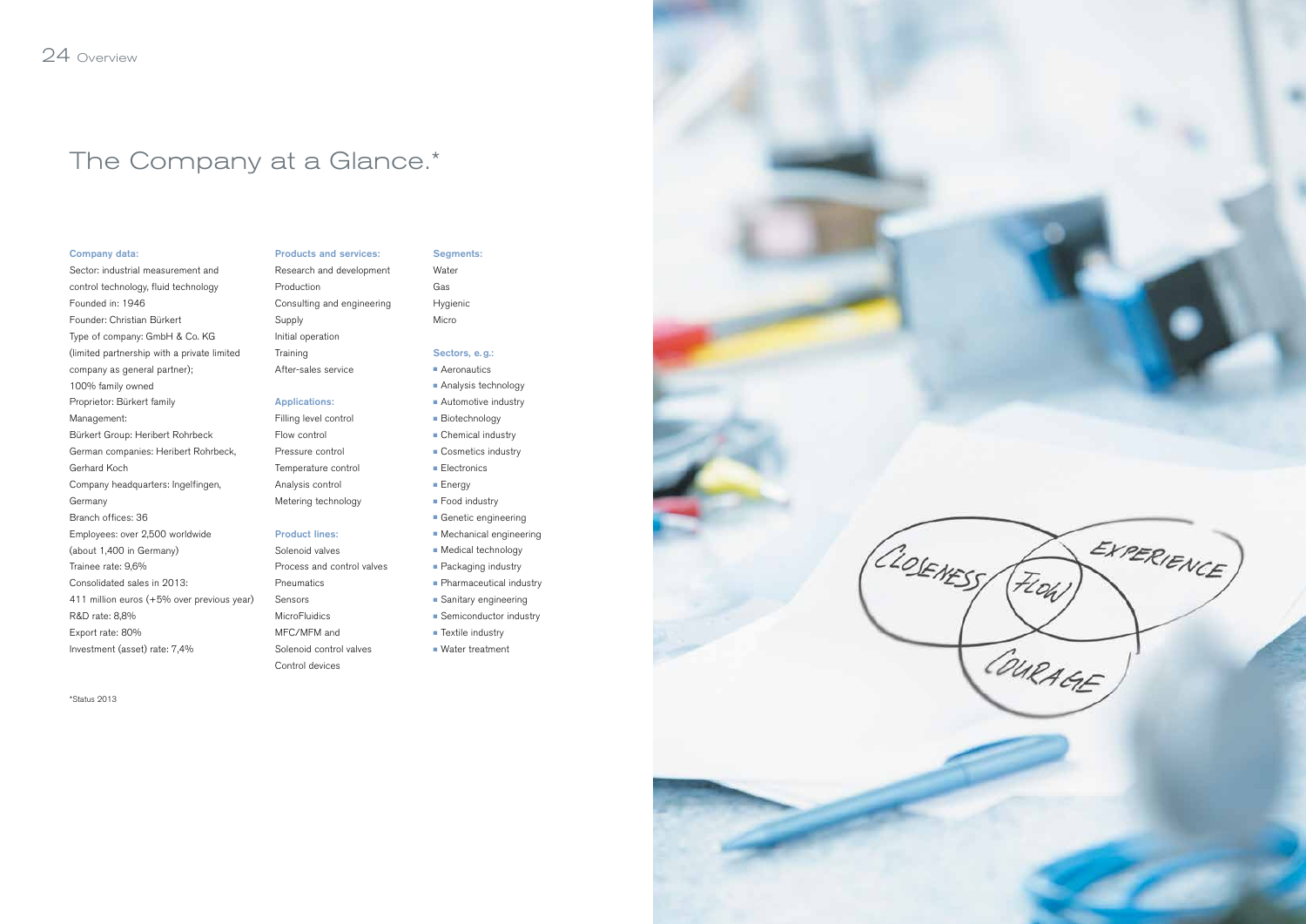#### Company data:

Sector: industrial measurement and control technology, fluid technology Founded in: 1946 Founder: Christian Bürkert Type of company: GmbH & Co. KG (limited partnership with a private limited company as general partner); 100% family owned Proprietor: Bürkert family Management: Bürkert Group: Heribert Rohrbeck German companies: Heribert Rohrbeck, Gerhard Koch Company headquarters: Ingelfingen, Germany Branch offices: 36 Employees: over 2,500 worldwide (about 1,400 in Germany) Trainee rate: 9,6% Consolidated sales in 2013: 411 million euros (+5% over previous year) R&D rate: 8,8% Export rate: 80% Investment (asset) rate: 7,4%

![](_page_13_Figure_35.jpeg)

![](_page_13_Picture_36.jpeg)

## The Company at a Glance.\*

Products and services: Research and development

Production Consulting and engineering Supply

Initial operation Training

After-sales service

### Applications:

Filling level control Flow control Pressure control Temperature control Analysis control Metering technology

#### Product lines:

Solenoid valves Process and control valves Pneumatics Sensors **MicroFluidics** MFC/MFM and Solenoid control valves

Control devices

Segments:

Water Gas Hygienic Micro

### Sectors, e.g.:

- Aeronautics
- Analysis technology
- Automotive industry
- Biotechnology
- Chemical industry
- Cosmetics industry
- Electronics
- Energy
- Food industry
- Genetic engineering
- Mechanical engineering
- Medical technology
- Packaging industry
- Pharmaceutical industry
- Sanitary engineering
- Semiconductor industry
- Textile industry
- Water treatment

![](_page_13_Figure_34.jpeg)